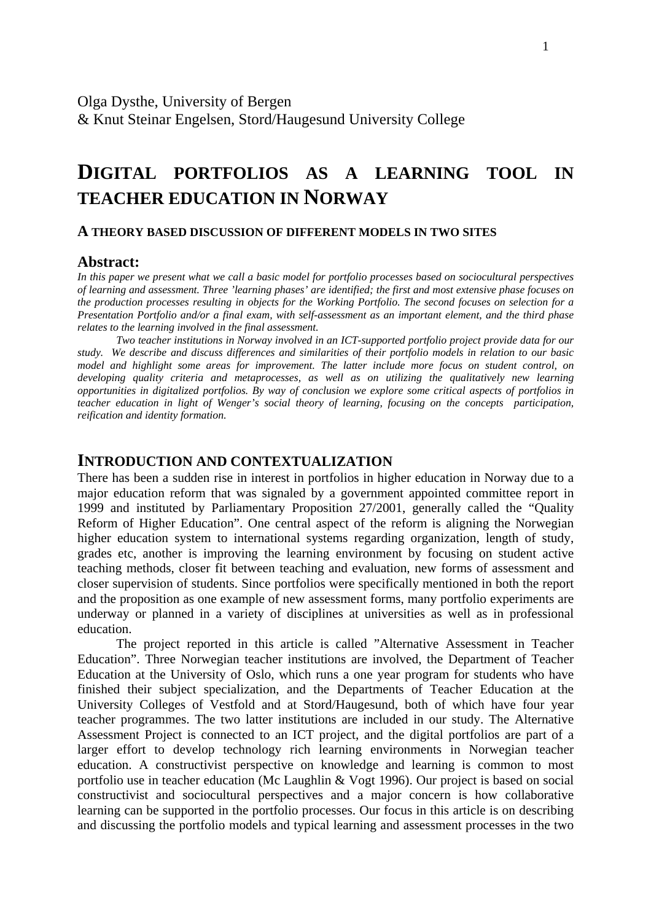# **DIGITAL PORTFOLIOS AS A LEARNING TOOL IN TEACHER EDUCATION IN NORWAY**

#### **A THEORY BASED DISCUSSION OF DIFFERENT MODELS IN TWO SITES**

### **Abstract:**

*In this paper we present what we call a basic model for portfolio processes based on sociocultural perspectives of learning and assessment. Three 'learning phases' are identified; the first and most extensive phase focuses on the production processes resulting in objects for the Working Portfolio. The second focuses on selection for a Presentation Portfolio and/or a final exam, with self-assessment as an important element, and the third phase relates to the learning involved in the final assessment.* 

*Two teacher institutions in Norway involved in an ICT-supported portfolio project provide data for our study. We describe and discuss differences and similarities of their portfolio models in relation to our basic model and highlight some areas for improvement. The latter include more focus on student control, on developing quality criteria and metaprocesses, as well as on utilizing the qualitatively new learning opportunities in digitalized portfolios. By way of conclusion we explore some critical aspects of portfolios in teacher education in light of Wenger's social theory of learning, focusing on the concepts participation, reification and identity formation.*

### **INTRODUCTION AND CONTEXTUALIZATION**

There has been a sudden rise in interest in portfolios in higher education in Norway due to a major education reform that was signaled by a government appointed committee report in 1999 and instituted by Parliamentary Proposition 27/2001, generally called the "Quality Reform of Higher Education". One central aspect of the reform is aligning the Norwegian higher education system to international systems regarding organization, length of study, grades etc, another is improving the learning environment by focusing on student active teaching methods, closer fit between teaching and evaluation, new forms of assessment and closer supervision of students. Since portfolios were specifically mentioned in both the report and the proposition as one example of new assessment forms, many portfolio experiments are underway or planned in a variety of disciplines at universities as well as in professional education.

The project reported in this article is called "Alternative Assessment in Teacher Education". Three Norwegian teacher institutions are involved, the Department of Teacher Education at the University of Oslo, which runs a one year program for students who have finished their subject specialization, and the Departments of Teacher Education at the University Colleges of Vestfold and at Stord/Haugesund, both of which have four year teacher programmes. The two latter institutions are included in our study. The Alternative Assessment Project is connected to an ICT project, and the digital portfolios are part of a larger effort to develop technology rich learning environments in Norwegian teacher education. A constructivist perspective on knowledge and learning is common to most portfolio use in teacher education (Mc Laughlin & Vogt 1996). Our project is based on social constructivist and sociocultural perspectives and a major concern is how collaborative learning can be supported in the portfolio processes. Our focus in this article is on describing and discussing the portfolio models and typical learning and assessment processes in the two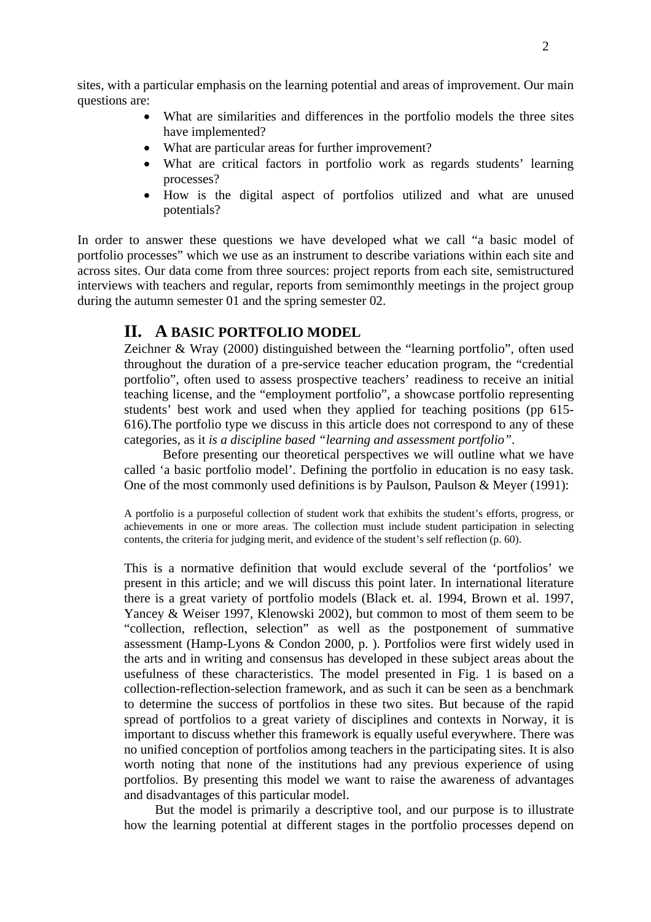sites, with a particular emphasis on the learning potential and areas of improvement. Our main questions are:

- What are similarities and differences in the portfolio models the three sites have implemented?
- What are particular areas for further improvement?
- What are critical factors in portfolio work as regards students' learning processes?
- How is the digital aspect of portfolios utilized and what are unused potentials?

In order to answer these questions we have developed what we call "a basic model of portfolio processes" which we use as an instrument to describe variations within each site and across sites. Our data come from three sources: project reports from each site, semistructured interviews with teachers and regular, reports from semimonthly meetings in the project group during the autumn semester 01 and the spring semester 02.

### **II. A BASIC PORTFOLIO MODEL**

Zeichner & Wray (2000) distinguished between the "learning portfolio", often used throughout the duration of a pre-service teacher education program, the "credential portfolio", often used to assess prospective teachers' readiness to receive an initial teaching license, and the "employment portfolio", a showcase portfolio representing students' best work and used when they applied for teaching positions (pp 615- 616).The portfolio type we discuss in this article does not correspond to any of these categories, as it *is a discipline based "learning and assessment portfolio"*.

Before presenting our theoretical perspectives we will outline what we have called 'a basic portfolio model'. Defining the portfolio in education is no easy task. One of the most commonly used definitions is by Paulson, Paulson & Meyer (1991):

A portfolio is a purposeful collection of student work that exhibits the student's efforts, progress, or achievements in one or more areas. The collection must include student participation in selecting contents, the criteria for judging merit, and evidence of the student's self reflection (p. 60).

This is a normative definition that would exclude several of the 'portfolios' we present in this article; and we will discuss this point later. In international literature there is a great variety of portfolio models (Black et. al. 1994, Brown et al. 1997, Yancey & Weiser 1997, Klenowski 2002), but common to most of them seem to be "collection, reflection, selection" as well as the postponement of summative assessment (Hamp-Lyons & Condon 2000, p. ). Portfolios were first widely used in the arts and in writing and consensus has developed in these subject areas about the usefulness of these characteristics. The model presented in Fig. 1 is based on a collection-reflection-selection framework, and as such it can be seen as a benchmark to determine the success of portfolios in these two sites. But because of the rapid spread of portfolios to a great variety of disciplines and contexts in Norway, it is important to discuss whether this framework is equally useful everywhere. There was no unified conception of portfolios among teachers in the participating sites. It is also worth noting that none of the institutions had any previous experience of using portfolios. By presenting this model we want to raise the awareness of advantages and disadvantages of this particular model.

But the model is primarily a descriptive tool, and our purpose is to illustrate how the learning potential at different stages in the portfolio processes depend on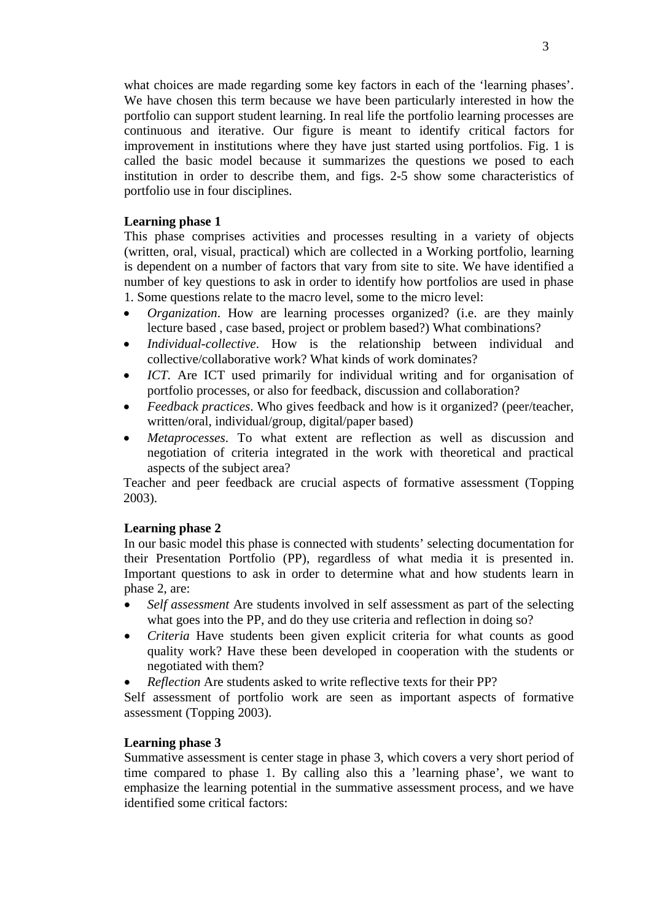what choices are made regarding some key factors in each of the 'learning phases'. We have chosen this term because we have been particularly interested in how the portfolio can support student learning. In real life the portfolio learning processes are continuous and iterative. Our figure is meant to identify critical factors for improvement in institutions where they have just started using portfolios. Fig. 1 is called the basic model because it summarizes the questions we posed to each institution in order to describe them, and figs. 2-5 show some characteristics of portfolio use in four disciplines.

### **Learning phase 1**

This phase comprises activities and processes resulting in a variety of objects (written, oral, visual, practical) which are collected in a Working portfolio, learning is dependent on a number of factors that vary from site to site. We have identified a number of key questions to ask in order to identify how portfolios are used in phase 1. Some questions relate to the macro level, some to the micro level:

- *Organization*. How are learning processes organized? (i.e. are they mainly lecture based , case based, project or problem based?) What combinations?
- *Individual-collective*. How is the relationship between individual and collective/collaborative work? What kinds of work dominates?
- *ICT.* Are ICT used primarily for individual writing and for organisation of portfolio processes, or also for feedback, discussion and collaboration?
- *Feedback practices*. Who gives feedback and how is it organized? (peer/teacher, written/oral, individual/group, digital/paper based)
- *Metaprocesses*. To what extent are reflection as well as discussion and negotiation of criteria integrated in the work with theoretical and practical aspects of the subject area?

Teacher and peer feedback are crucial aspects of formative assessment (Topping 2003).

#### **Learning phase 2**

In our basic model this phase is connected with students' selecting documentation for their Presentation Portfolio (PP), regardless of what media it is presented in. Important questions to ask in order to determine what and how students learn in phase 2, are:

- *Self assessment* Are students involved in self assessment as part of the selecting what goes into the PP, and do they use criteria and reflection in doing so?
- *Criteria* Have students been given explicit criteria for what counts as good quality work? Have these been developed in cooperation with the students or negotiated with them?
- *Reflection* Are students asked to write reflective texts for their PP?

Self assessment of portfolio work are seen as important aspects of formative assessment (Topping 2003).

### **Learning phase 3**

Summative assessment is center stage in phase 3, which covers a very short period of time compared to phase 1. By calling also this a 'learning phase', we want to emphasize the learning potential in the summative assessment process, and we have identified some critical factors: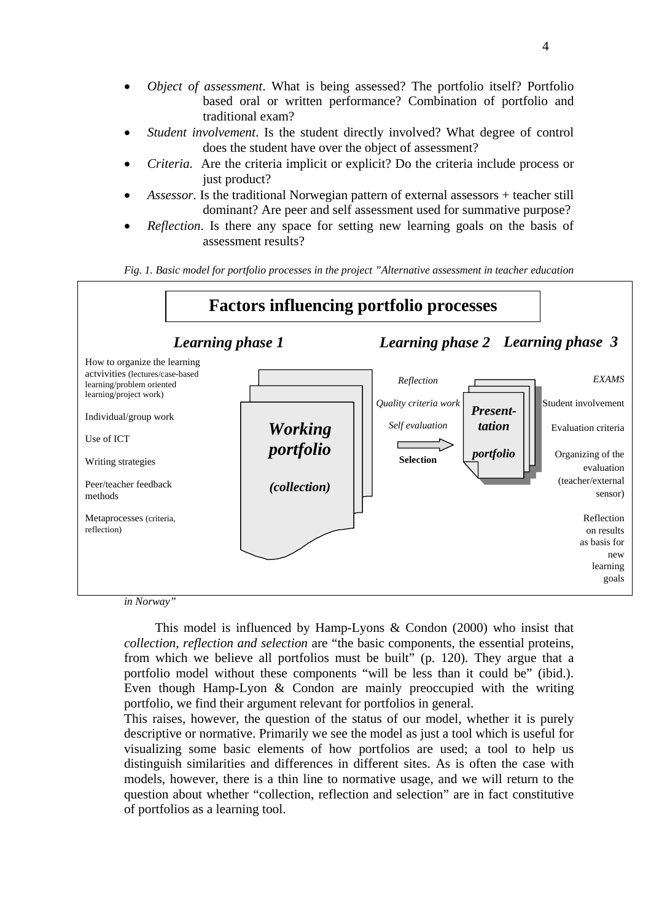- *Object of assessment*. What is being assessed? The portfolio itself? Portfolio based oral or written performance? Combination of portfolio and traditional exam?
- *Student involvement*. Is the student directly involved? What degree of control does the student have over the object of assessment?
- *Criteria.* Are the criteria implicit or explicit? Do the criteria include process or just product?
- *Assessor.* Is the traditional Norwegian pattern of external assessors + teacher still dominant? Are peer and self assessment used for summative purpose?
- *Reflection*. Is there any space for setting new learning goals on the basis of assessment results?

*Fig. 1. Basic model for portfolio processes in the project "Alternative assessment in teacher education*



*in Norway"* 

This model is influenced by Hamp-Lyons & Condon (2000) who insist that *collection, reflection and selection* are "the basic components, the essential proteins, from which we believe all portfolios must be built" (p. 120). They argue that a portfolio model without these components "will be less than it could be" (ibid.). Even though Hamp-Lyon & Condon are mainly preoccupied with the writing portfolio, we find their argument relevant for portfolios in general.

This raises, however, the question of the status of our model, whether it is purely descriptive or normative. Primarily we see the model as just a tool which is useful for visualizing some basic elements of how portfolios are used; a tool to help us distinguish similarities and differences in different sites. As is often the case with models, however, there is a thin line to normative usage, and we will return to the question about whether "collection, reflection and selection" are in fact constitutive of portfolios as a learning tool.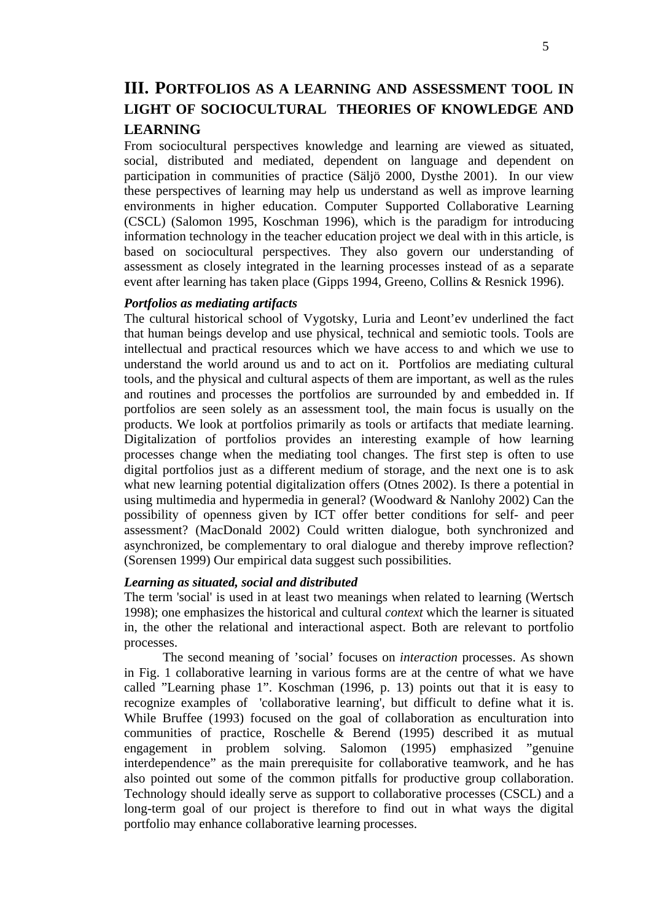# **III. PORTFOLIOS AS A LEARNING AND ASSESSMENT TOOL IN LIGHT OF SOCIOCULTURAL THEORIES OF KNOWLEDGE AND LEARNING**

From sociocultural perspectives knowledge and learning are viewed as situated, social, distributed and mediated, dependent on language and dependent on participation in communities of practice (Säljö 2000, Dysthe 2001). In our view these perspectives of learning may help us understand as well as improve learning environments in higher education. Computer Supported Collaborative Learning (CSCL) (Salomon 1995, Koschman 1996), which is the paradigm for introducing information technology in the teacher education project we deal with in this article, is based on sociocultural perspectives. They also govern our understanding of assessment as closely integrated in the learning processes instead of as a separate event after learning has taken place (Gipps 1994, Greeno, Collins & Resnick 1996).

### *Portfolios as mediating artifacts*

The cultural historical school of Vygotsky, Luria and Leont'ev underlined the fact that human beings develop and use physical, technical and semiotic tools. Tools are intellectual and practical resources which we have access to and which we use to understand the world around us and to act on it. Portfolios are mediating cultural tools, and the physical and cultural aspects of them are important, as well as the rules and routines and processes the portfolios are surrounded by and embedded in. If portfolios are seen solely as an assessment tool, the main focus is usually on the products. We look at portfolios primarily as tools or artifacts that mediate learning. Digitalization of portfolios provides an interesting example of how learning processes change when the mediating tool changes. The first step is often to use digital portfolios just as a different medium of storage, and the next one is to ask what new learning potential digitalization offers (Otnes 2002). Is there a potential in using multimedia and hypermedia in general? (Woodward & Nanlohy 2002) Can the possibility of openness given by ICT offer better conditions for self- and peer assessment? (MacDonald 2002) Could written dialogue, both synchronized and asynchronized, be complementary to oral dialogue and thereby improve reflection? (Sorensen 1999) Our empirical data suggest such possibilities.

### *Learning as situated, social and distributed*

The term 'social' is used in at least two meanings when related to learning (Wertsch 1998); one emphasizes the historical and cultural *context* which the learner is situated in, the other the relational and interactional aspect. Both are relevant to portfolio processes.

The second meaning of 'social' focuses on *interaction* processes. As shown in Fig. 1 collaborative learning in various forms are at the centre of what we have called "Learning phase 1". Koschman (1996, p. 13) points out that it is easy to recognize examples of 'collaborative learning', but difficult to define what it is. While Bruffee (1993) focused on the goal of collaboration as enculturation into communities of practice, Roschelle & Berend (1995) described it as mutual engagement in problem solving. Salomon (1995) emphasized "genuine interdependence" as the main prerequisite for collaborative teamwork, and he has also pointed out some of the common pitfalls for productive group collaboration. Technology should ideally serve as support to collaborative processes (CSCL) and a long-term goal of our project is therefore to find out in what ways the digital portfolio may enhance collaborative learning processes.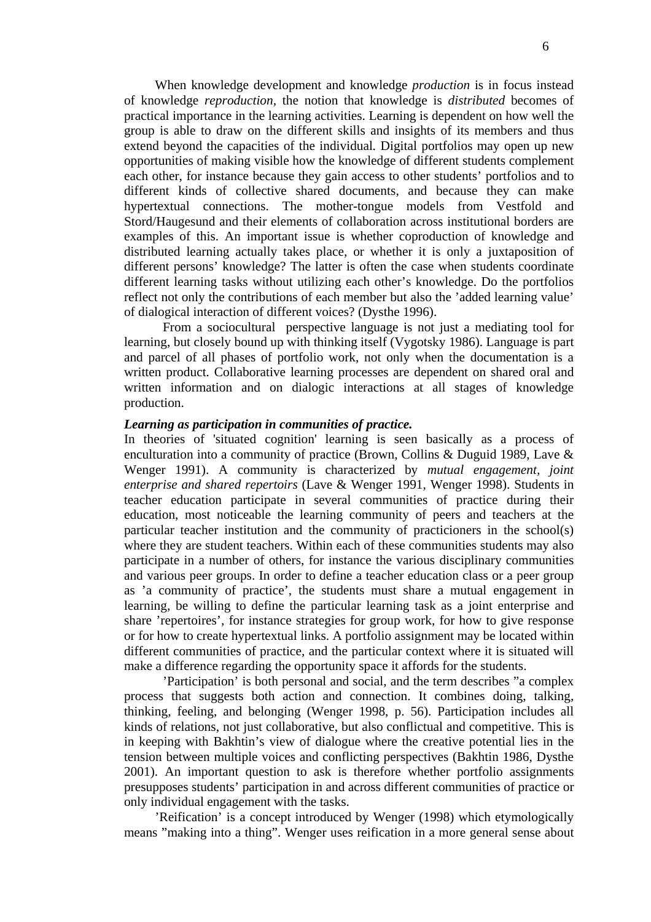When knowledge development and knowledge *production* is in focus instead of knowledge *reproduction,* the notion that knowledge is *distributed* becomes of practical importance in the learning activities. Learning is dependent on how well the group is able to draw on the different skills and insights of its members and thus extend beyond the capacities of the individual*.* Digital portfolios may open up new opportunities of making visible how the knowledge of different students complement each other, for instance because they gain access to other students' portfolios and to different kinds of collective shared documents, and because they can make hypertextual connections. The mother-tongue models from Vestfold and Stord/Haugesund and their elements of collaboration across institutional borders are examples of this. An important issue is whether coproduction of knowledge and distributed learning actually takes place, or whether it is only a juxtaposition of different persons' knowledge? The latter is often the case when students coordinate different learning tasks without utilizing each other's knowledge. Do the portfolios reflect not only the contributions of each member but also the 'added learning value' of dialogical interaction of different voices? (Dysthe 1996).

From a sociocultural perspective language is not just a mediating tool for learning, but closely bound up with thinking itself (Vygotsky 1986). Language is part and parcel of all phases of portfolio work, not only when the documentation is a written product. Collaborative learning processes are dependent on shared oral and written information and on dialogic interactions at all stages of knowledge production.

#### *Learning as participation in communities of practice.*

In theories of 'situated cognition' learning is seen basically as a process of enculturation into a community of practice (Brown, Collins & Duguid 1989, Lave & Wenger 1991). A community is characterized by *mutual engagement, joint enterprise and shared repertoirs* (Lave & Wenger 1991, Wenger 1998). Students in teacher education participate in several communities of practice during their education, most noticeable the learning community of peers and teachers at the particular teacher institution and the community of practicioners in the school(s) where they are student teachers. Within each of these communities students may also participate in a number of others, for instance the various disciplinary communities and various peer groups. In order to define a teacher education class or a peer group as 'a community of practice', the students must share a mutual engagement in learning, be willing to define the particular learning task as a joint enterprise and share 'repertoires', for instance strategies for group work, for how to give response or for how to create hypertextual links. A portfolio assignment may be located within different communities of practice, and the particular context where it is situated will make a difference regarding the opportunity space it affords for the students.

'Participation' is both personal and social, and the term describes "a complex process that suggests both action and connection. It combines doing, talking, thinking, feeling, and belonging (Wenger 1998, p. 56). Participation includes all kinds of relations, not just collaborative, but also conflictual and competitive. This is in keeping with Bakhtin's view of dialogue where the creative potential lies in the tension between multiple voices and conflicting perspectives (Bakhtin 1986, Dysthe 2001). An important question to ask is therefore whether portfolio assignments presupposes students' participation in and across different communities of practice or only individual engagement with the tasks.

'Reification' is a concept introduced by Wenger (1998) which etymologically means "making into a thing". Wenger uses reification in a more general sense about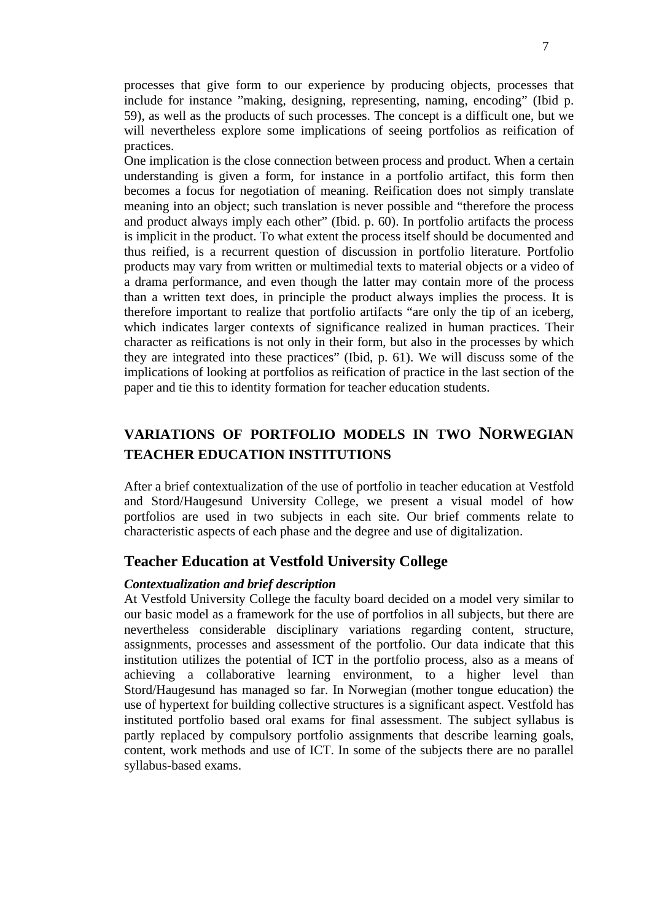processes that give form to our experience by producing objects, processes that include for instance "making, designing, representing, naming, encoding" (Ibid p. 59), as well as the products of such processes. The concept is a difficult one, but we will nevertheless explore some implications of seeing portfolios as reification of practices.

One implication is the close connection between process and product. When a certain understanding is given a form, for instance in a portfolio artifact, this form then becomes a focus for negotiation of meaning. Reification does not simply translate meaning into an object; such translation is never possible and "therefore the process and product always imply each other" (Ibid. p. 60). In portfolio artifacts the process is implicit in the product. To what extent the process itself should be documented and thus reified, is a recurrent question of discussion in portfolio literature. Portfolio products may vary from written or multimedial texts to material objects or a video of a drama performance, and even though the latter may contain more of the process than a written text does, in principle the product always implies the process. It is therefore important to realize that portfolio artifacts "are only the tip of an iceberg, which indicates larger contexts of significance realized in human practices. Their character as reifications is not only in their form, but also in the processes by which they are integrated into these practices" (Ibid, p. 61). We will discuss some of the implications of looking at portfolios as reification of practice in the last section of the paper and tie this to identity formation for teacher education students.

## **VARIATIONS OF PORTFOLIO MODELS IN TWO NORWEGIAN TEACHER EDUCATION INSTITUTIONS**

After a brief contextualization of the use of portfolio in teacher education at Vestfold and Stord/Haugesund University College, we present a visual model of how portfolios are used in two subjects in each site. Our brief comments relate to characteristic aspects of each phase and the degree and use of digitalization.

### **Teacher Education at Vestfold University College**

#### *Contextualization and brief description*

At Vestfold University College the faculty board decided on a model very similar to our basic model as a framework for the use of portfolios in all subjects, but there are nevertheless considerable disciplinary variations regarding content, structure, assignments, processes and assessment of the portfolio. Our data indicate that this institution utilizes the potential of ICT in the portfolio process, also as a means of achieving a collaborative learning environment, to a higher level than Stord/Haugesund has managed so far. In Norwegian (mother tongue education) the use of hypertext for building collective structures is a significant aspect. Vestfold has instituted portfolio based oral exams for final assessment. The subject syllabus is partly replaced by compulsory portfolio assignments that describe learning goals, content, work methods and use of ICT. In some of the subjects there are no parallel syllabus-based exams.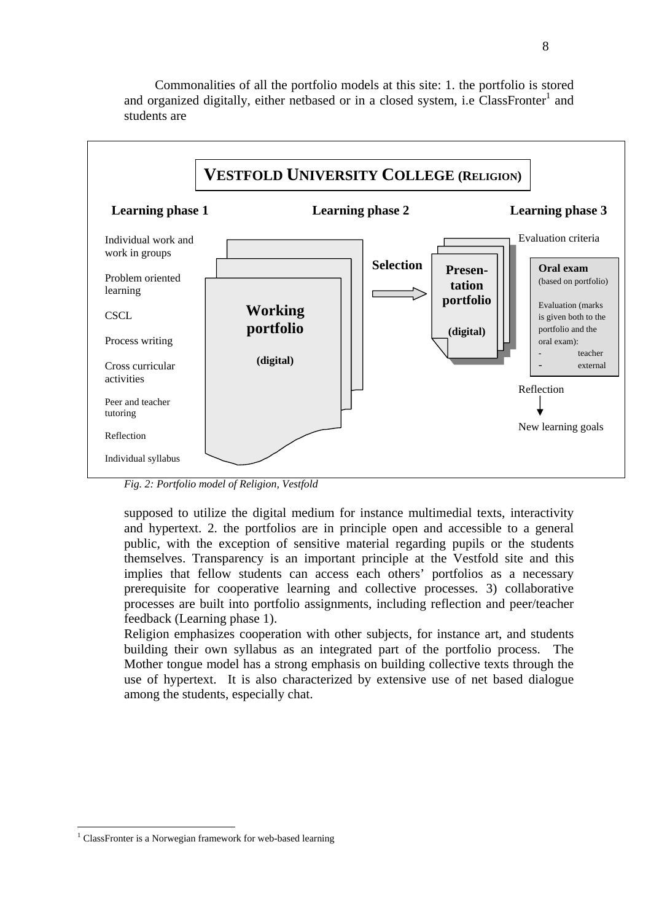Commonalities of all the portfolio models at this site: 1. the portfolio is stored and organized digitally, either netbased or in a closed system, i.e ClassFronter<sup>1</sup> and students are



*Fig. 2: Portfolio model of Religion, Vestfold*

supposed to utilize the digital medium for instance multimedial texts, interactivity and hypertext. 2. the portfolios are in principle open and accessible to a general public, with the exception of sensitive material regarding pupils or the students themselves. Transparency is an important principle at the Vestfold site and this implies that fellow students can access each others' portfolios as a necessary prerequisite for cooperative learning and collective processes. 3) collaborative processes are built into portfolio assignments, including reflection and peer/teacher feedback (Learning phase 1).

Religion emphasizes cooperation with other subjects, for instance art, and students building their own syllabus as an integrated part of the portfolio process. The Mother tongue model has a strong emphasis on building collective texts through the use of hypertext. It is also characterized by extensive use of net based dialogue among the students, especially chat.

<span id="page-7-0"></span><sup>1</sup> <sup>1</sup> ClassFronter is a Norwegian framework for web-based learning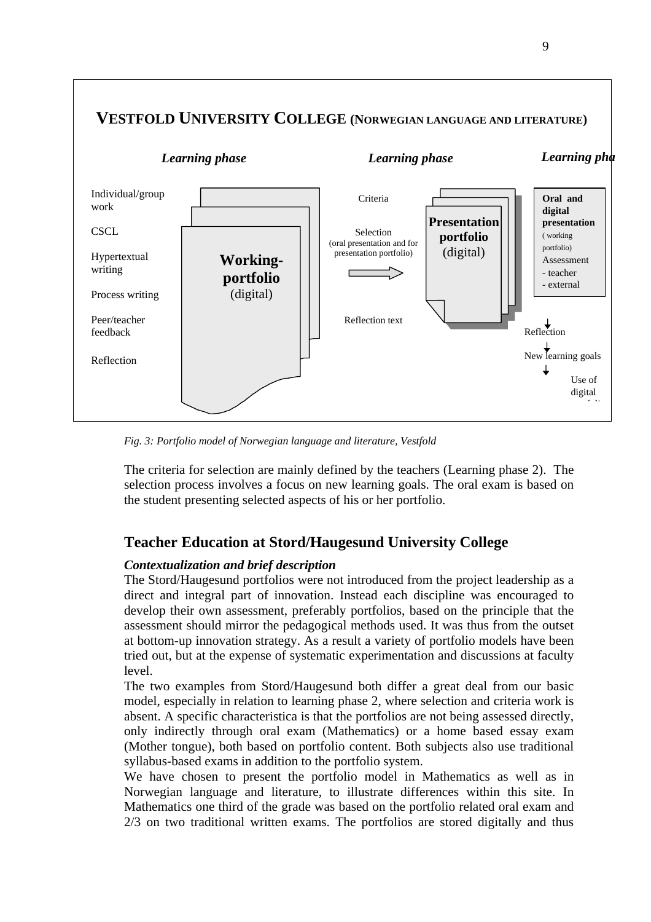

*Fig. 3: Portfolio model of Norwegian language and literature, Vestfold* 

The criteria for selection are mainly defined by the teachers (Learning phase 2). The selection process involves a focus on new learning goals. The oral exam is based on the student presenting selected aspects of his or her portfolio.

### **Teacher Education at Stord/Haugesund University College**

### *Contextualization and brief description*

The Stord/Haugesund portfolios were not introduced from the project leadership as a direct and integral part of innovation. Instead each discipline was encouraged to develop their own assessment, preferably portfolios, based on the principle that the assessment should mirror the pedagogical methods used. It was thus from the outset at bottom-up innovation strategy. As a result a variety of portfolio models have been tried out, but at the expense of systematic experimentation and discussions at faculty level.

The two examples from Stord/Haugesund both differ a great deal from our basic model, especially in relation to learning phase 2, where selection and criteria work is absent. A specific characteristica is that the portfolios are not being assessed directly, only indirectly through oral exam (Mathematics) or a home based essay exam (Mother tongue), both based on portfolio content. Both subjects also use traditional syllabus-based exams in addition to the portfolio system.

We have chosen to present the portfolio model in Mathematics as well as in Norwegian language and literature, to illustrate differences within this site. In Mathematics one third of the grade was based on the portfolio related oral exam and 2/3 on two traditional written exams. The portfolios are stored digitally and thus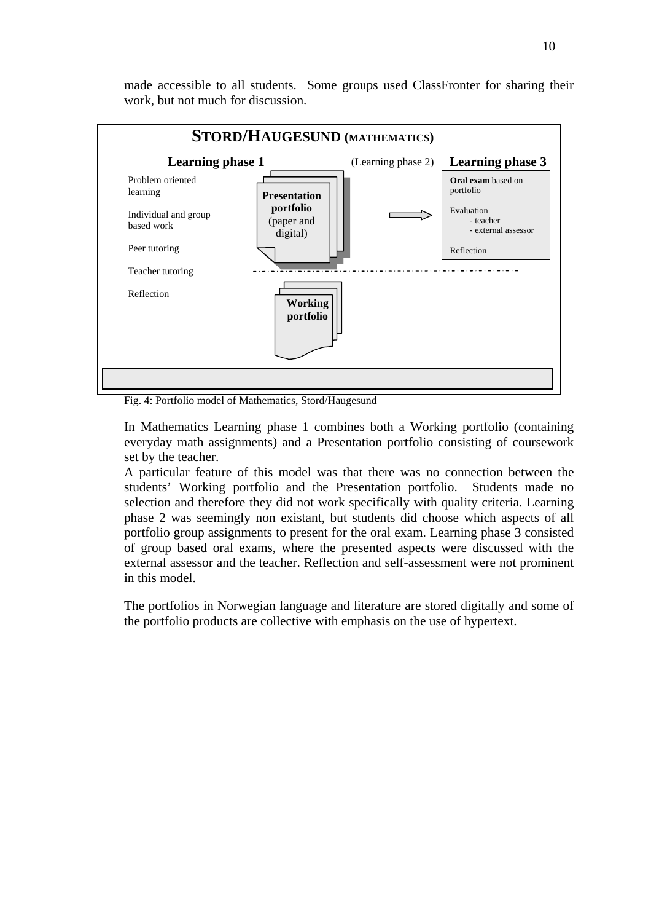made accessible to all students. Some groups used ClassFronter for sharing their work, but not much for discussion.



Fig. 4: Portfolio model of Mathematics, Stord/Haugesund

In Mathematics Learning phase 1 combines both a Working portfolio (containing everyday math assignments) and a Presentation portfolio consisting of coursework set by the teacher.

A particular feature of this model was that there was no connection between the students' Working portfolio and the Presentation portfolio. Students made no selection and therefore they did not work specifically with quality criteria. Learning phase 2 was seemingly non existant, but students did choose which aspects of all portfolio group assignments to present for the oral exam. Learning phase 3 consisted of group based oral exams, where the presented aspects were discussed with the external assessor and the teacher. Reflection and self-assessment were not prominent in this model.

The portfolios in Norwegian language and literature are stored digitally and some of the portfolio products are collective with emphasis on the use of hypertext.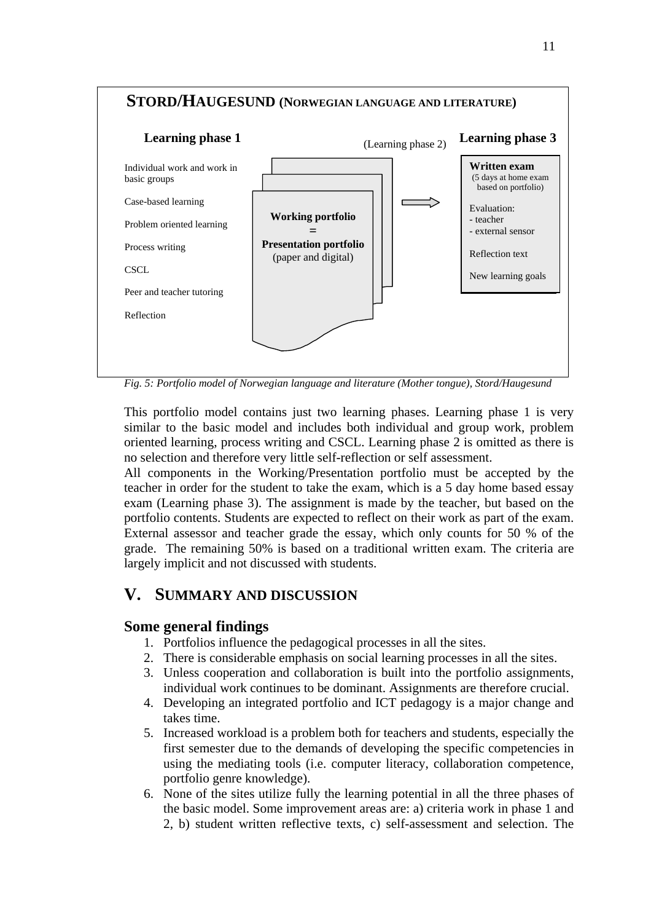

*Fig. 5: Portfolio model of Norwegian language and literature (Mother tongue), Stord/Haugesund* 

This portfolio model contains just two learning phases. Learning phase 1 is very similar to the basic model and includes both individual and group work, problem oriented learning, process writing and CSCL. Learning phase 2 is omitted as there is no selection and therefore very little self-reflection or self assessment.

All components in the Working/Presentation portfolio must be accepted by the teacher in order for the student to take the exam, which is a 5 day home based essay exam (Learning phase 3). The assignment is made by the teacher, but based on the portfolio contents. Students are expected to reflect on their work as part of the exam. External assessor and teacher grade the essay, which only counts for 50 % of the grade. The remaining 50% is based on a traditional written exam. The criteria are largely implicit and not discussed with students.

# **V. SUMMARY AND DISCUSSION**

### **Some general findings**

- 1. Portfolios influence the pedagogical processes in all the sites.
- 2. There is considerable emphasis on social learning processes in all the sites.
- 3. Unless cooperation and collaboration is built into the portfolio assignments, individual work continues to be dominant. Assignments are therefore crucial.
- 4. Developing an integrated portfolio and ICT pedagogy is a major change and takes time.
- 5. Increased workload is a problem both for teachers and students, especially the first semester due to the demands of developing the specific competencies in using the mediating tools (i.e. computer literacy, collaboration competence, portfolio genre knowledge).
- 6. None of the sites utilize fully the learning potential in all the three phases of the basic model. Some improvement areas are: a) criteria work in phase 1 and 2, b) student written reflective texts, c) self-assessment and selection. The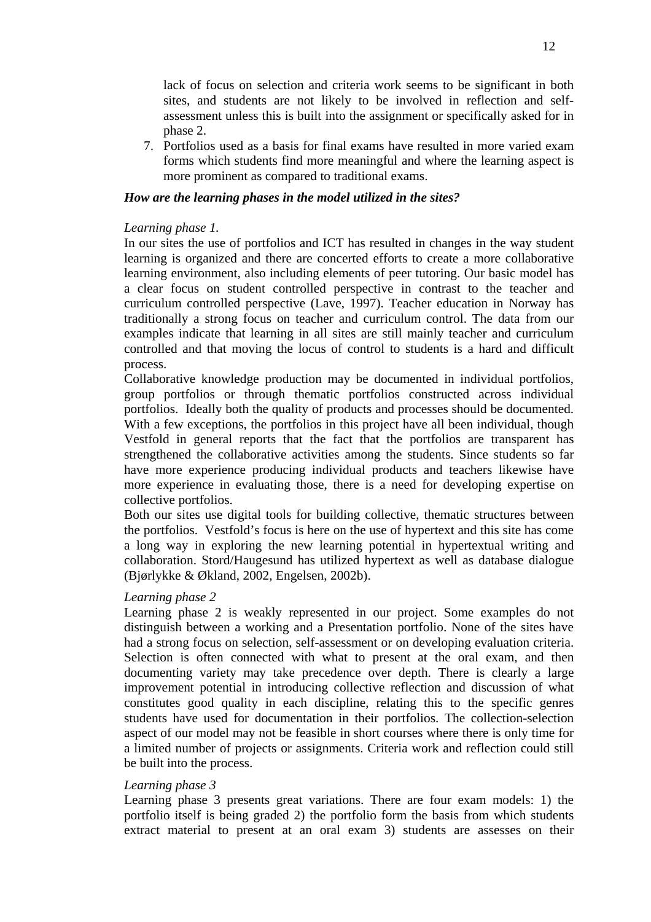lack of focus on selection and criteria work seems to be significant in both sites, and students are not likely to be involved in reflection and selfassessment unless this is built into the assignment or specifically asked for in phase 2.

7. Portfolios used as a basis for final exams have resulted in more varied exam forms which students find more meaningful and where the learning aspect is more prominent as compared to traditional exams.

### *How are the learning phases in the model utilized in the sites?*

### *Learning phase 1.*

In our sites the use of portfolios and ICT has resulted in changes in the way student learning is organized and there are concerted efforts to create a more collaborative learning environment, also including elements of peer tutoring. Our basic model has a clear focus on student controlled perspective in contrast to the teacher and curriculum controlled perspective (Lave, 1997). Teacher education in Norway has traditionally a strong focus on teacher and curriculum control. The data from our examples indicate that learning in all sites are still mainly teacher and curriculum controlled and that moving the locus of control to students is a hard and difficult process.

Collaborative knowledge production may be documented in individual portfolios, group portfolios or through thematic portfolios constructed across individual portfolios. Ideally both the quality of products and processes should be documented. With a few exceptions, the portfolios in this project have all been individual, though Vestfold in general reports that the fact that the portfolios are transparent has strengthened the collaborative activities among the students. Since students so far have more experience producing individual products and teachers likewise have more experience in evaluating those, there is a need for developing expertise on collective portfolios.

Both our sites use digital tools for building collective, thematic structures between the portfolios. Vestfold's focus is here on the use of hypertext and this site has come a long way in exploring the new learning potential in hypertextual writing and collaboration. Stord/Haugesund has utilized hypertext as well as database dialogue (Bjørlykke & Økland, 2002, Engelsen, 2002b).

### *Learning phase 2*

Learning phase 2 is weakly represented in our project. Some examples do not distinguish between a working and a Presentation portfolio. None of the sites have had a strong focus on selection, self-assessment or on developing evaluation criteria. Selection is often connected with what to present at the oral exam, and then documenting variety may take precedence over depth. There is clearly a large improvement potential in introducing collective reflection and discussion of what constitutes good quality in each discipline, relating this to the specific genres students have used for documentation in their portfolios. The collection-selection aspect of our model may not be feasible in short courses where there is only time for a limited number of projects or assignments. Criteria work and reflection could still be built into the process.

### *Learning phase 3*

Learning phase 3 presents great variations. There are four exam models: 1) the portfolio itself is being graded 2) the portfolio form the basis from which students extract material to present at an oral exam 3) students are assesses on their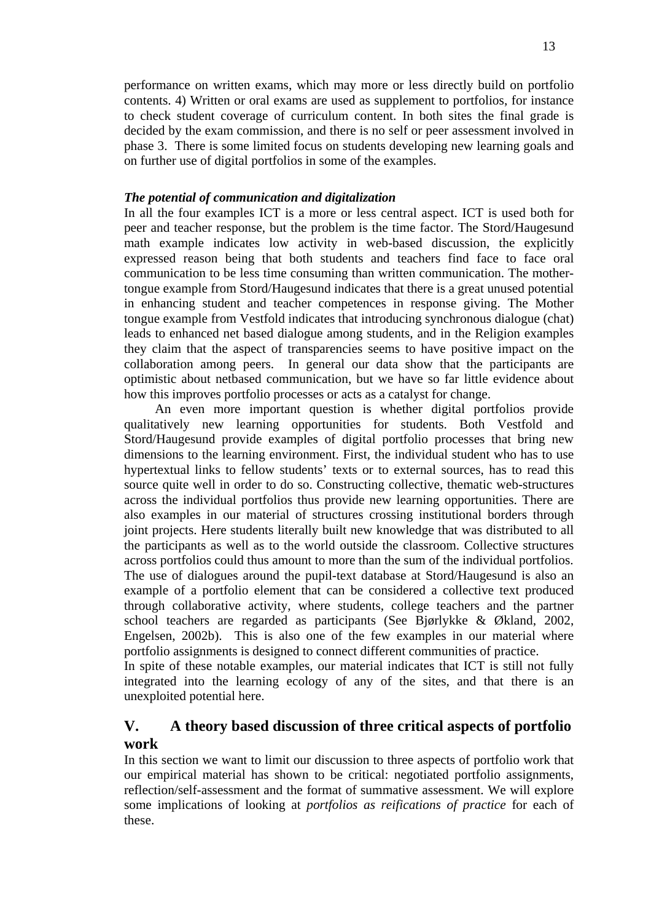performance on written exams, which may more or less directly build on portfolio contents. 4) Written or oral exams are used as supplement to portfolios, for instance to check student coverage of curriculum content. In both sites the final grade is decided by the exam commission, and there is no self or peer assessment involved in phase 3. There is some limited focus on students developing new learning goals and on further use of digital portfolios in some of the examples.

### *The potential of communication and digitalization*

In all the four examples ICT is a more or less central aspect. ICT is used both for peer and teacher response, but the problem is the time factor. The Stord/Haugesund math example indicates low activity in web-based discussion, the explicitly expressed reason being that both students and teachers find face to face oral communication to be less time consuming than written communication. The mothertongue example from Stord/Haugesund indicates that there is a great unused potential in enhancing student and teacher competences in response giving. The Mother tongue example from Vestfold indicates that introducing synchronous dialogue (chat) leads to enhanced net based dialogue among students, and in the Religion examples they claim that the aspect of transparencies seems to have positive impact on the collaboration among peers. In general our data show that the participants are optimistic about netbased communication, but we have so far little evidence about how this improves portfolio processes or acts as a catalyst for change.

An even more important question is whether digital portfolios provide qualitatively new learning opportunities for students. Both Vestfold and Stord/Haugesund provide examples of digital portfolio processes that bring new dimensions to the learning environment. First, the individual student who has to use hypertextual links to fellow students' texts or to external sources, has to read this source quite well in order to do so. Constructing collective, thematic web-structures across the individual portfolios thus provide new learning opportunities. There are also examples in our material of structures crossing institutional borders through joint projects. Here students literally built new knowledge that was distributed to all the participants as well as to the world outside the classroom. Collective structures across portfolios could thus amount to more than the sum of the individual portfolios. The use of dialogues around the pupil-text database at Stord/Haugesund is also an example of a portfolio element that can be considered a collective text produced through collaborative activity, where students, college teachers and the partner school teachers are regarded as participants (See Bjørlykke & Økland, 2002, Engelsen, 2002b). This is also one of the few examples in our material where portfolio assignments is designed to connect different communities of practice.

In spite of these notable examples, our material indicates that ICT is still not fully integrated into the learning ecology of any of the sites, and that there is an unexploited potential here.

### **V. A theory based discussion of three critical aspects of portfolio work**

In this section we want to limit our discussion to three aspects of portfolio work that our empirical material has shown to be critical: negotiated portfolio assignments, reflection/self-assessment and the format of summative assessment. We will explore some implications of looking at *portfolios as reifications of practice* for each of these.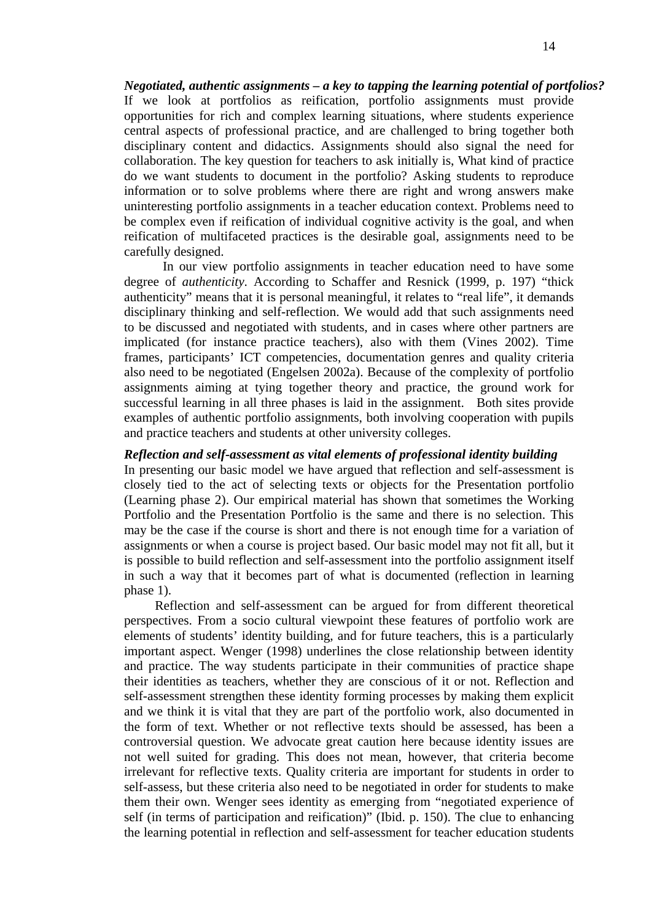*Negotiated, authentic assignments – a key to tapping the learning potential of portfolios?*  If we look at portfolios as reification, portfolio assignments must provide opportunities for rich and complex learning situations, where students experience central aspects of professional practice, and are challenged to bring together both disciplinary content and didactics. Assignments should also signal the need for collaboration. The key question for teachers to ask initially is, What kind of practice do we want students to document in the portfolio? Asking students to reproduce information or to solve problems where there are right and wrong answers make uninteresting portfolio assignments in a teacher education context. Problems need to be complex even if reification of individual cognitive activity is the goal, and when reification of multifaceted practices is the desirable goal, assignments need to be carefully designed.

In our view portfolio assignments in teacher education need to have some degree of *authenticity*. According to Schaffer and Resnick (1999, p. 197) "thick authenticity" means that it is personal meaningful, it relates to "real life", it demands disciplinary thinking and self-reflection. We would add that such assignments need to be discussed and negotiated with students, and in cases where other partners are implicated (for instance practice teachers), also with them (Vines 2002). Time frames, participants' ICT competencies, documentation genres and quality criteria also need to be negotiated (Engelsen 2002a). Because of the complexity of portfolio assignments aiming at tying together theory and practice, the ground work for successful learning in all three phases is laid in the assignment. Both sites provide examples of authentic portfolio assignments, both involving cooperation with pupils and practice teachers and students at other university colleges.

### *Reflection and self-assessment as vital elements of professional identity building*

In presenting our basic model we have argued that reflection and self-assessment is closely tied to the act of selecting texts or objects for the Presentation portfolio (Learning phase 2). Our empirical material has shown that sometimes the Working Portfolio and the Presentation Portfolio is the same and there is no selection. This may be the case if the course is short and there is not enough time for a variation of assignments or when a course is project based. Our basic model may not fit all, but it is possible to build reflection and self-assessment into the portfolio assignment itself in such a way that it becomes part of what is documented (reflection in learning phase 1).

Reflection and self-assessment can be argued for from different theoretical perspectives. From a socio cultural viewpoint these features of portfolio work are elements of students' identity building, and for future teachers, this is a particularly important aspect. Wenger (1998) underlines the close relationship between identity and practice. The way students participate in their communities of practice shape their identities as teachers, whether they are conscious of it or not. Reflection and self-assessment strengthen these identity forming processes by making them explicit and we think it is vital that they are part of the portfolio work, also documented in the form of text. Whether or not reflective texts should be assessed, has been a controversial question. We advocate great caution here because identity issues are not well suited for grading. This does not mean, however, that criteria become irrelevant for reflective texts. Quality criteria are important for students in order to self-assess, but these criteria also need to be negotiated in order for students to make them their own. Wenger sees identity as emerging from "negotiated experience of self (in terms of participation and reification)" (Ibid. p. 150). The clue to enhancing the learning potential in reflection and self-assessment for teacher education students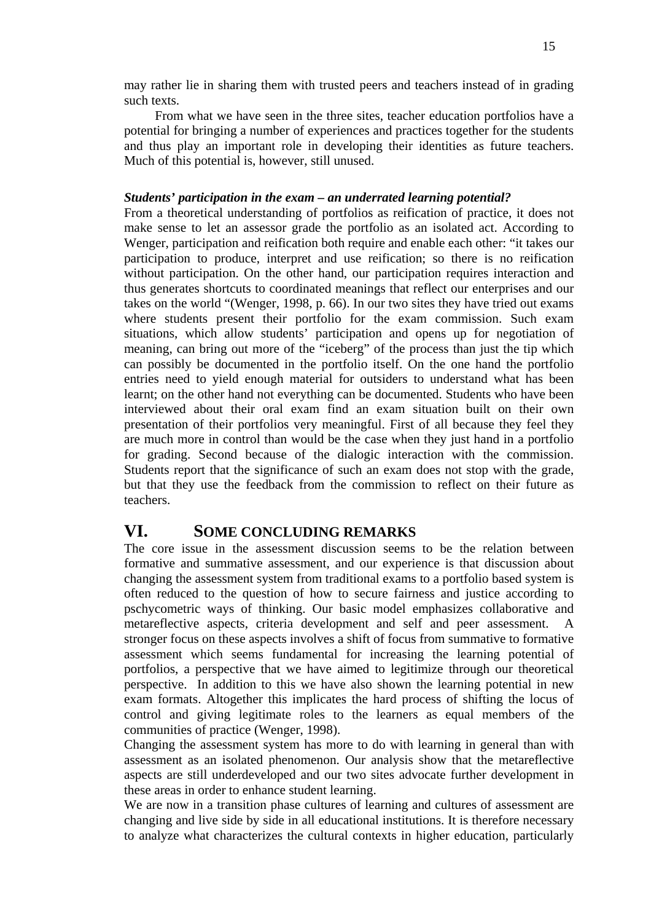may rather lie in sharing them with trusted peers and teachers instead of in grading such texts.

From what we have seen in the three sites, teacher education portfolios have a potential for bringing a number of experiences and practices together for the students and thus play an important role in developing their identities as future teachers. Much of this potential is, however, still unused.

### *Students' participation in the exam – an underrated learning potential?*

From a theoretical understanding of portfolios as reification of practice, it does not make sense to let an assessor grade the portfolio as an isolated act. According to Wenger, participation and reification both require and enable each other: "it takes our participation to produce, interpret and use reification; so there is no reification without participation. On the other hand, our participation requires interaction and thus generates shortcuts to coordinated meanings that reflect our enterprises and our takes on the world "(Wenger, 1998, p. 66). In our two sites they have tried out exams where students present their portfolio for the exam commission. Such exam situations, which allow students' participation and opens up for negotiation of meaning, can bring out more of the "iceberg" of the process than just the tip which can possibly be documented in the portfolio itself. On the one hand the portfolio entries need to yield enough material for outsiders to understand what has been learnt; on the other hand not everything can be documented. Students who have been interviewed about their oral exam find an exam situation built on their own presentation of their portfolios very meaningful. First of all because they feel they are much more in control than would be the case when they just hand in a portfolio for grading. Second because of the dialogic interaction with the commission. Students report that the significance of such an exam does not stop with the grade, but that they use the feedback from the commission to reflect on their future as teachers.

### **VI. SOME CONCLUDING REMARKS**

The core issue in the assessment discussion seems to be the relation between formative and summative assessment, and our experience is that discussion about changing the assessment system from traditional exams to a portfolio based system is often reduced to the question of how to secure fairness and justice according to pschycometric ways of thinking. Our basic model emphasizes collaborative and metareflective aspects, criteria development and self and peer assessment. stronger focus on these aspects involves a shift of focus from summative to formative assessment which seems fundamental for increasing the learning potential of portfolios, a perspective that we have aimed to legitimize through our theoretical perspective. In addition to this we have also shown the learning potential in new exam formats. Altogether this implicates the hard process of shifting the locus of control and giving legitimate roles to the learners as equal members of the communities of practice (Wenger, 1998).

Changing the assessment system has more to do with learning in general than with assessment as an isolated phenomenon. Our analysis show that the metareflective aspects are still underdeveloped and our two sites advocate further development in these areas in order to enhance student learning.

We are now in a transition phase cultures of learning and cultures of assessment are changing and live side by side in all educational institutions. It is therefore necessary to analyze what characterizes the cultural contexts in higher education, particularly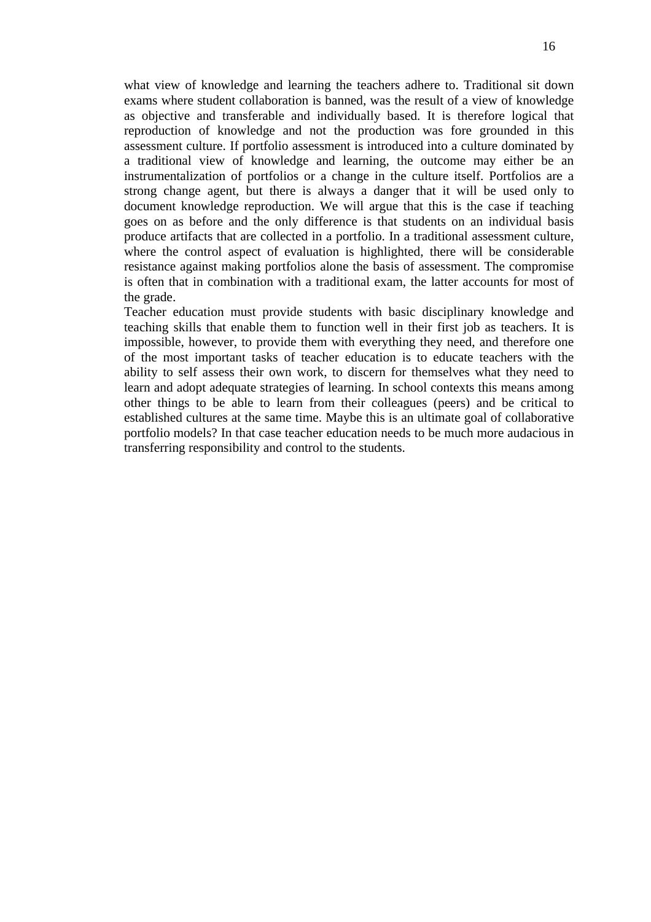what view of knowledge and learning the teachers adhere to. Traditional sit down exams where student collaboration is banned, was the result of a view of knowledge as objective and transferable and individually based. It is therefore logical that reproduction of knowledge and not the production was fore grounded in this assessment culture. If portfolio assessment is introduced into a culture dominated by a traditional view of knowledge and learning, the outcome may either be an instrumentalization of portfolios or a change in the culture itself. Portfolios are a strong change agent, but there is always a danger that it will be used only to document knowledge reproduction. We will argue that this is the case if teaching goes on as before and the only difference is that students on an individual basis produce artifacts that are collected in a portfolio. In a traditional assessment culture, where the control aspect of evaluation is highlighted, there will be considerable resistance against making portfolios alone the basis of assessment. The compromise is often that in combination with a traditional exam, the latter accounts for most of the grade.

Teacher education must provide students with basic disciplinary knowledge and teaching skills that enable them to function well in their first job as teachers. It is impossible, however, to provide them with everything they need, and therefore one of the most important tasks of teacher education is to educate teachers with the ability to self assess their own work, to discern for themselves what they need to learn and adopt adequate strategies of learning. In school contexts this means among other things to be able to learn from their colleagues (peers) and be critical to established cultures at the same time. Maybe this is an ultimate goal of collaborative portfolio models? In that case teacher education needs to be much more audacious in transferring responsibility and control to the students.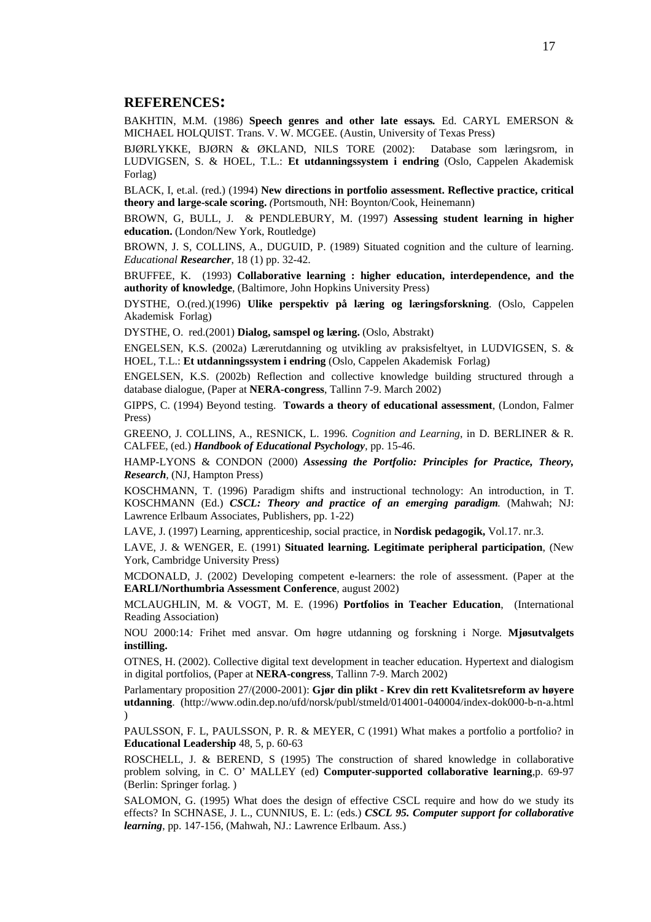#### **REFERENCES:**

BAKHTIN, M.M. (1986) **Speech genres and other late essays***.* Ed. CARYL EMERSON & MICHAEL HOLQUIST. Trans. V. W. MCGEE. (Austin, University of Texas Press)

BJØRLYKKE, BJØRN & ØKLAND, NILS TORE (2002): Database som læringsrom, in LUDVIGSEN, S. & HOEL, T.L.: **Et utdanningssystem i endring** (Oslo, Cappelen Akademisk Forlag)

BLACK, I, et.al. (red.) (1994) **New directions in portfolio assessment. Reflective practice, critical theory and large-scale scoring.** *(*Portsmouth, NH: Boynton/Cook, Heinemann)

BROWN, G, BULL, J. & PENDLEBURY, M. (1997) **Assessing student learning in higher education.** (London/New York, Routledge)

BROWN, J. S, COLLINS, A., DUGUID, P. (1989) Situated cognition and the culture of learning. *Educational Researcher*, 18 (1) pp. 32-42.

BRUFFEE, K. (1993) **Collaborative learning : higher education, interdependence, and the authority of knowledge**, (Baltimore, John Hopkins University Press)

DYSTHE, O.(red.)(1996) **Ulike perspektiv på læring og læringsforskning**. (Oslo, Cappelen Akademisk Forlag)

DYSTHE, O. red.(2001) **Dialog, samspel og læring.** (Oslo, Abstrakt)

ENGELSEN, K.S. (2002a) Lærerutdanning og utvikling av praksisfeltyet, in LUDVIGSEN, S. & HOEL, T.L.: **Et utdanningssystem i endring** (Oslo, Cappelen Akademisk Forlag)

ENGELSEN, K.S. (2002b) Reflection and collective knowledge building structured through a database dialogue, (Paper at **NERA-congress**, Tallinn 7-9. March 2002)

GIPPS, C. (1994) Beyond testing. **Towards a theory of educational assessment**, (London, Falmer Press)

GREENO, J. COLLINS, A., RESNICK, L. 1996. *Cognition and Learning*, in D. BERLINER & R. CALFEE, (ed.) *Handbook of Educational Psychology*, pp. 15-46.

HAMP-LYONS & CONDON (2000) *Assessing the Portfolio: Principles for Practice, Theory, Research,* (NJ, Hampton Press)

KOSCHMANN, T. (1996) Paradigm shifts and instructional technology: An introduction, in T. KOSCHMANN (Ed.) *CSCL: Theory and practice of an emerging paradigm.* (Mahwah; NJ: Lawrence Erlbaum Associates, Publishers, pp. 1-22)

LAVE, J. (1997) Learning, apprenticeship, social practice, in **Nordisk pedagogik,** Vol.17. nr.3.

LAVE, J. & WENGER, E. (1991) **Situated learning. Legitimate peripheral participation**, (New York, Cambridge University Press)

MCDONALD, J. (2002) Developing competent e-learners: the role of assessment. (Paper at the **EARLI/Northumbria Assessment Conference**, august 2002)

MCLAUGHLIN, M. & VOGT, M. E. (1996) **Portfolios in Teacher Education**, (International Reading Association)

NOU 2000:14*:* Frihet med ansvar. Om høgre utdanning og forskning i Norge*.* **Mjøsutvalgets instilling.**

OTNES, H. (2002). Collective digital text development in teacher education. Hypertext and dialogism in digital portfolios, (Paper at **NERA-congress**, Tallinn 7-9. March 2002)

Parlamentary proposition 27/(2000-2001): **Gjør din plikt - Krev din rett Kvalitetsreform av høyere utdanning**. (http://www.odin.dep.no/ufd/norsk/publ/stmeld/014001-040004/index-dok000-b-n-a.html )

PAULSSON, F. L, PAULSSON, P. R. & MEYER, C (1991) What makes a portfolio a portfolio? in **Educational Leadership** 48, 5, p. 60-63

ROSCHELL, J. & BEREND, S (1995) The construction of shared knowledge in collaborative problem solving, in C. O' MALLEY (ed) **Computer-supported collaborative learning**,p. 69-97 (Berlin: Springer forlag. )

SALOMON, G. (1995) What does the design of effective CSCL require and how do we study its effects? In SCHNASE, J. L., CUNNIUS, E. L: (eds.) *CSCL 95. Computer support for collaborative learning*, pp. 147-156, (Mahwah, NJ.: Lawrence Erlbaum. Ass.)